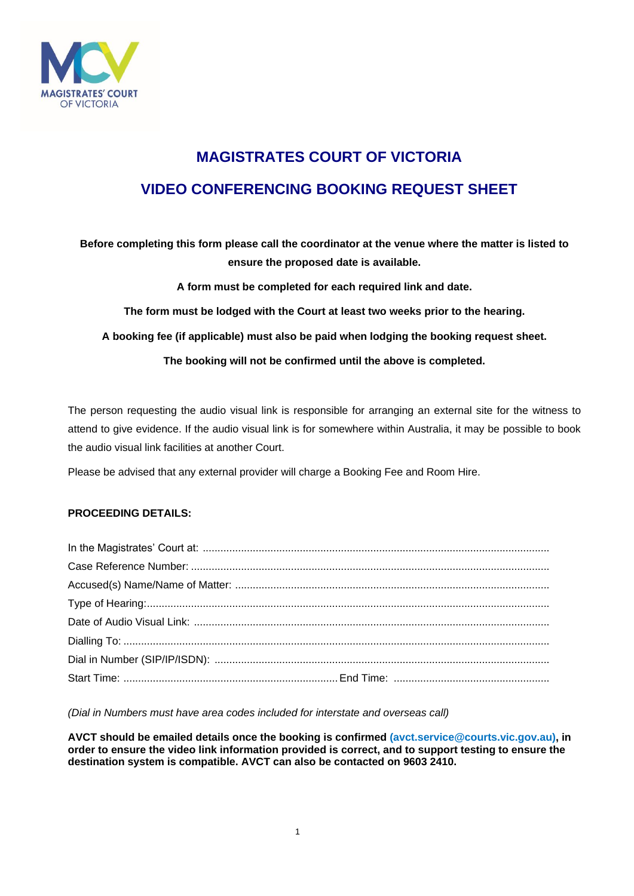

# **MAGISTRATES COURT OF VICTORIA VIDEO CONFERENCING BOOKING REQUEST SHEET**

**Before completing this form please call the coordinator at the venue where the matter is listed to ensure the proposed date is available.**

**A form must be completed for each required link and date.** 

**The form must be lodged with the Court at least two weeks prior to the hearing.**

**A booking fee (if applicable) must also be paid when lodging the booking request sheet.**

**The booking will not be confirmed until the above is completed.**

The person requesting the audio visual link is responsible for arranging an external site for the witness to attend to give evidence. If the audio visual link is for somewhere within Australia, it may be possible to book the audio visual link facilities at another Court.

Please be advised that any external provider will charge a Booking Fee and Room Hire.

#### **PROCEEDING DETAILS:**

*(Dial in Numbers must have area codes included for interstate and overseas call)*

**AVCT should be emailed details once the booking is confirmed (avct.service@courts.vic.gov.au), in order to ensure the video link information provided is correct, and to support testing to ensure the destination system is compatible. AVCT can also be contacted on 9603 2410.**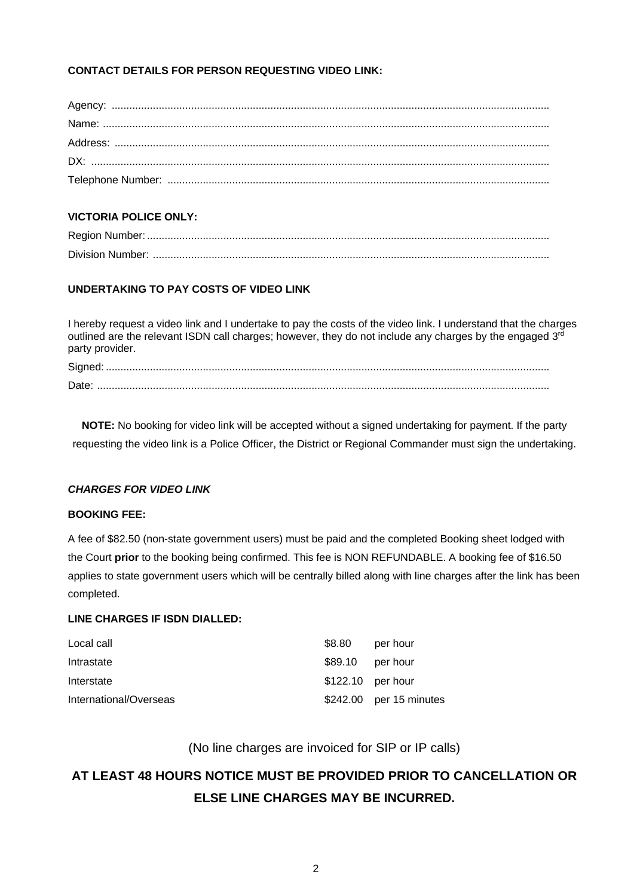# **CONTACT DETAILS FOR PERSON REQUESTING VIDEO LINK:**

# **VICTORIA POLICE ONLY:**

# **UNDERTAKING TO PAY COSTS OF VIDEO LINK**

I hereby request a video link and I undertake to pay the costs of the video link. I understand that the charges outlined are the relevant ISDN call charges; however, they do not include any charges by the engaged 3<sup>rd</sup> party provider.

**NOTE:** No booking for video link will be accepted without a signed undertaking for payment. If the party requesting the video link is a Police Officer, the District or Regional Commander must sign the undertaking.

# *CHARGES FOR VIDEO LINK*

#### **BOOKING FEE:**

A fee of \$82.50 (non-state government users) must be paid and the completed Booking sheet lodged with the Court **prior** to the booking being confirmed. This fee is NON REFUNDABLE. A booking fee of \$16.50 applies to state government users which will be centrally billed along with line charges after the link has been completed.

#### **LINE CHARGES IF ISDN DIALLED:**

| Local call             | \$8.80            | per hour                |
|------------------------|-------------------|-------------------------|
| Intrastate             | $$89.10$ per hour |                         |
| Interstate             | \$122.10 per hour |                         |
| International/Overseas |                   | \$242.00 per 15 minutes |

(No line charges are invoiced for SIP or IP calls)

# **AT LEAST 48 HOURS NOTICE MUST BE PROVIDED PRIOR TO CANCELLATION OR ELSE LINE CHARGES MAY BE INCURRED.**